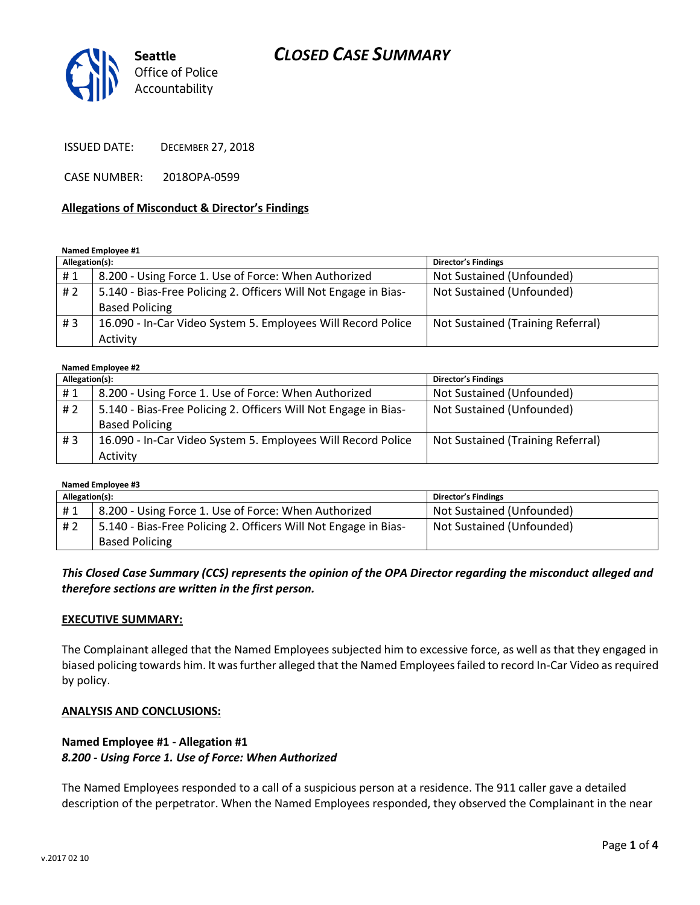# *CLOSED CASE SUMMARY*



ISSUED DATE: DECEMBER 27, 2018

CASE NUMBER: 2018OPA-0599

#### **Allegations of Misconduct & Director's Findings**

#### **Named Employee #1**

| Allegation(s): |                                                                 | <b>Director's Findings</b>        |
|----------------|-----------------------------------------------------------------|-----------------------------------|
| #1             | 8.200 - Using Force 1. Use of Force: When Authorized            | Not Sustained (Unfounded)         |
| # 2            | 5.140 - Bias-Free Policing 2. Officers Will Not Engage in Bias- | Not Sustained (Unfounded)         |
|                | <b>Based Policing</b>                                           |                                   |
| #3             | 16.090 - In-Car Video System 5. Employees Will Record Police    | Not Sustained (Training Referral) |
|                | Activity                                                        |                                   |

#### **Named Employee #2**

| Allegation(s): |                                                                 | <b>Director's Findings</b>        |
|----------------|-----------------------------------------------------------------|-----------------------------------|
| #1             | 8.200 - Using Force 1. Use of Force: When Authorized            | Not Sustained (Unfounded)         |
| #2             | 5.140 - Bias-Free Policing 2. Officers Will Not Engage in Bias- | Not Sustained (Unfounded)         |
|                | <b>Based Policing</b>                                           |                                   |
| #3             | 16.090 - In-Car Video System 5. Employees Will Record Police    | Not Sustained (Training Referral) |
|                | Activity                                                        |                                   |

#### **Named Employee #3**

| Allegation(s): |                                                                 | <b>Director's Findings</b> |
|----------------|-----------------------------------------------------------------|----------------------------|
| #1             | 8.200 - Using Force 1. Use of Force: When Authorized            | Not Sustained (Unfounded)  |
| # 2            | 5.140 - Bias-Free Policing 2. Officers Will Not Engage in Bias- | Not Sustained (Unfounded)  |
|                | <b>Based Policing</b>                                           |                            |

#### *This Closed Case Summary (CCS) represents the opinion of the OPA Director regarding the misconduct alleged and therefore sections are written in the first person.*

#### **EXECUTIVE SUMMARY:**

The Complainant alleged that the Named Employees subjected him to excessive force, as well as that they engaged in biased policing towards him. It was further alleged that the Named Employees failed to record In-Car Video as required by policy.

#### **ANALYSIS AND CONCLUSIONS:**

#### **Named Employee #1 - Allegation #1** *8.200 - Using Force 1. Use of Force: When Authorized*

The Named Employees responded to a call of a suspicious person at a residence. The 911 caller gave a detailed description of the perpetrator. When the Named Employees responded, they observed the Complainant in the near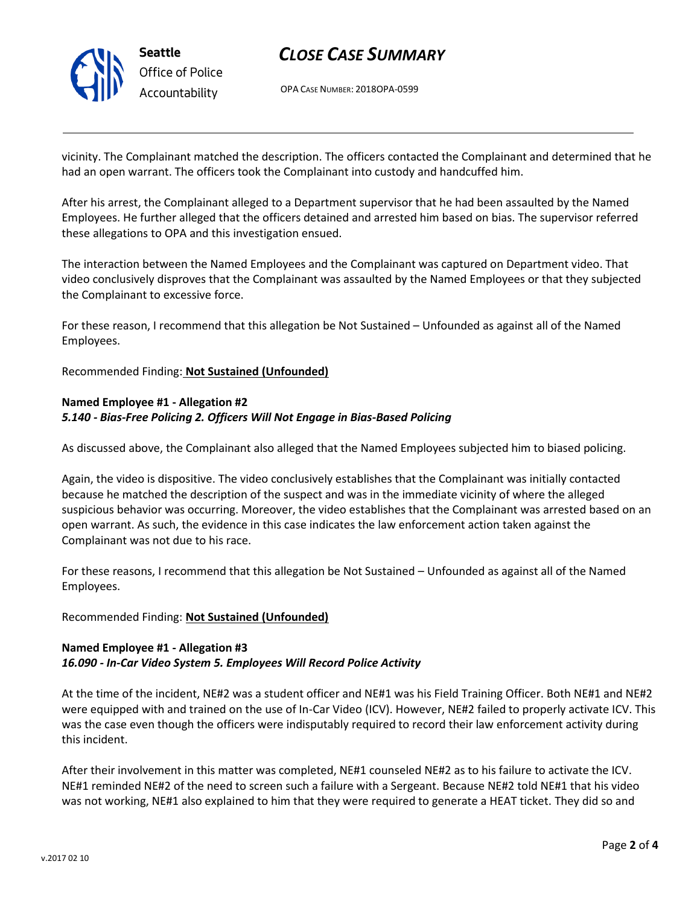

# *CLOSE CASE SUMMARY*

OPA CASE NUMBER: 2018OPA-0599

vicinity. The Complainant matched the description. The officers contacted the Complainant and determined that he had an open warrant. The officers took the Complainant into custody and handcuffed him.

After his arrest, the Complainant alleged to a Department supervisor that he had been assaulted by the Named Employees. He further alleged that the officers detained and arrested him based on bias. The supervisor referred these allegations to OPA and this investigation ensued.

The interaction between the Named Employees and the Complainant was captured on Department video. That video conclusively disproves that the Complainant was assaulted by the Named Employees or that they subjected the Complainant to excessive force.

For these reason, I recommend that this allegation be Not Sustained – Unfounded as against all of the Named Employees.

Recommended Finding: **Not Sustained (Unfounded)**

### **Named Employee #1 - Allegation #2** *5.140 - Bias-Free Policing 2. Officers Will Not Engage in Bias-Based Policing*

As discussed above, the Complainant also alleged that the Named Employees subjected him to biased policing.

Again, the video is dispositive. The video conclusively establishes that the Complainant was initially contacted because he matched the description of the suspect and was in the immediate vicinity of where the alleged suspicious behavior was occurring. Moreover, the video establishes that the Complainant was arrested based on an open warrant. As such, the evidence in this case indicates the law enforcement action taken against the Complainant was not due to his race.

For these reasons, I recommend that this allegation be Not Sustained – Unfounded as against all of the Named Employees.

### Recommended Finding: **Not Sustained (Unfounded)**

### **Named Employee #1 - Allegation #3** *16.090 - In-Car Video System 5. Employees Will Record Police Activity*

At the time of the incident, NE#2 was a student officer and NE#1 was his Field Training Officer. Both NE#1 and NE#2 were equipped with and trained on the use of In-Car Video (ICV). However, NE#2 failed to properly activate ICV. This was the case even though the officers were indisputably required to record their law enforcement activity during this incident.

After their involvement in this matter was completed, NE#1 counseled NE#2 as to his failure to activate the ICV. NE#1 reminded NE#2 of the need to screen such a failure with a Sergeant. Because NE#2 told NE#1 that his video was not working, NE#1 also explained to him that they were required to generate a HEAT ticket. They did so and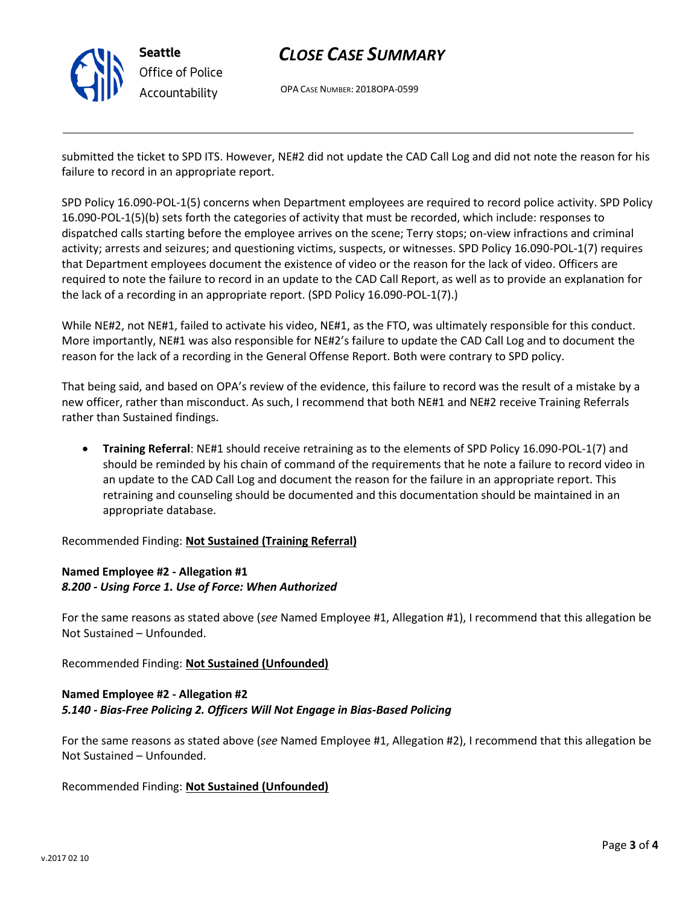

# *CLOSE CASE SUMMARY*

OPA CASE NUMBER: 2018OPA-0599

submitted the ticket to SPD ITS. However, NE#2 did not update the CAD Call Log and did not note the reason for his failure to record in an appropriate report.

SPD Policy 16.090-POL-1(5) concerns when Department employees are required to record police activity. SPD Policy 16.090-POL-1(5)(b) sets forth the categories of activity that must be recorded, which include: responses to dispatched calls starting before the employee arrives on the scene; Terry stops; on-view infractions and criminal activity; arrests and seizures; and questioning victims, suspects, or witnesses. SPD Policy 16.090-POL-1(7) requires that Department employees document the existence of video or the reason for the lack of video. Officers are required to note the failure to record in an update to the CAD Call Report, as well as to provide an explanation for the lack of a recording in an appropriate report. (SPD Policy 16.090-POL-1(7).)

While NE#2, not NE#1, failed to activate his video, NE#1, as the FTO, was ultimately responsible for this conduct. More importantly, NE#1 was also responsible for NE#2's failure to update the CAD Call Log and to document the reason for the lack of a recording in the General Offense Report. Both were contrary to SPD policy.

That being said, and based on OPA's review of the evidence, this failure to record was the result of a mistake by a new officer, rather than misconduct. As such, I recommend that both NE#1 and NE#2 receive Training Referrals rather than Sustained findings.

• **Training Referral**: NE#1 should receive retraining as to the elements of SPD Policy 16.090-POL-1(7) and should be reminded by his chain of command of the requirements that he note a failure to record video in an update to the CAD Call Log and document the reason for the failure in an appropriate report. This retraining and counseling should be documented and this documentation should be maintained in an appropriate database.

Recommended Finding: **Not Sustained (Training Referral)**

## **Named Employee #2 - Allegation #1** *8.200 - Using Force 1. Use of Force: When Authorized*

For the same reasons as stated above (*see* Named Employee #1, Allegation #1), I recommend that this allegation be Not Sustained – Unfounded.

Recommended Finding: **Not Sustained (Unfounded)**

## **Named Employee #2 - Allegation #2** *5.140 - Bias-Free Policing 2. Officers Will Not Engage in Bias-Based Policing*

For the same reasons as stated above (*see* Named Employee #1, Allegation #2), I recommend that this allegation be Not Sustained – Unfounded.

Recommended Finding: **Not Sustained (Unfounded)**